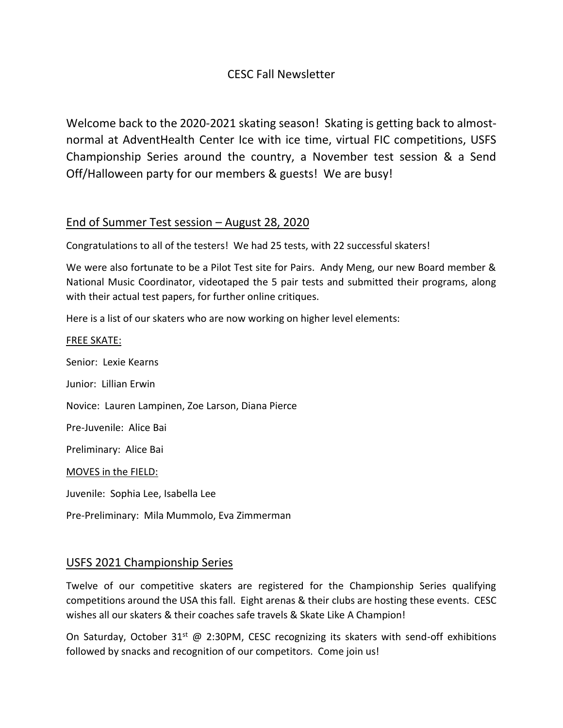### CESC Fall Newsletter

Welcome back to the 2020-2021 skating season! Skating is getting back to almostnormal at AdventHealth Center Ice with ice time, virtual FIC competitions, USFS Championship Series around the country, a November test session & a Send Off/Halloween party for our members & guests! We are busy!

### End of Summer Test session – August 28, 2020

Congratulations to all of the testers! We had 25 tests, with 22 successful skaters!

We were also fortunate to be a Pilot Test site for Pairs. Andy Meng, our new Board member & National Music Coordinator, videotaped the 5 pair tests and submitted their programs, along with their actual test papers, for further online critiques.

Here is a list of our skaters who are now working on higher level elements:

#### FREE SKATE:

Senior: Lexie Kearns

Junior: Lillian Erwin

Novice: Lauren Lampinen, Zoe Larson, Diana Pierce

Pre-Juvenile: Alice Bai

Preliminary: Alice Bai

MOVES in the FIELD:

Juvenile: Sophia Lee, Isabella Lee

Pre-Preliminary: Mila Mummolo, Eva Zimmerman

### USFS 2021 Championship Series

Twelve of our competitive skaters are registered for the Championship Series qualifying competitions around the USA this fall. Eight arenas & their clubs are hosting these events. CESC wishes all our skaters & their coaches safe travels & Skate Like A Champion!

On Saturday, October 31<sup>st</sup> @ 2:30PM, CESC recognizing its skaters with send-off exhibitions followed by snacks and recognition of our competitors. Come join us!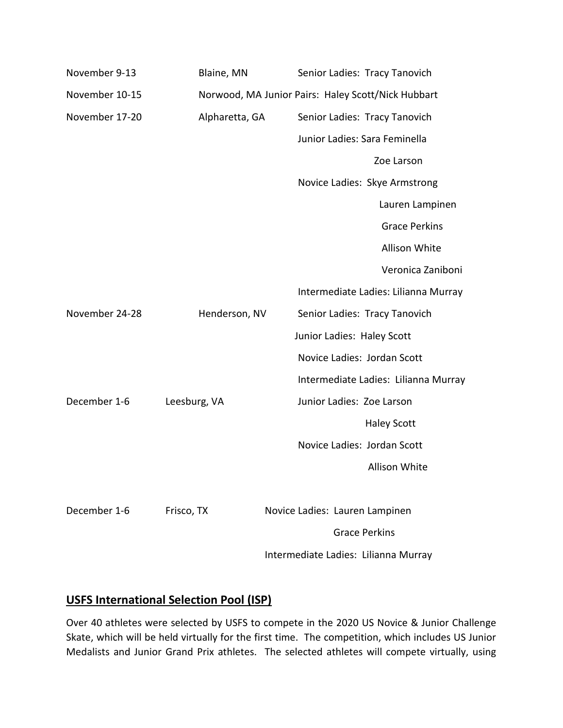| November 9-13  | Blaine, MN     | Senior Ladies: Tracy Tanovich                      |
|----------------|----------------|----------------------------------------------------|
| November 10-15 |                | Norwood, MA Junior Pairs: Haley Scott/Nick Hubbart |
| November 17-20 | Alpharetta, GA | Senior Ladies: Tracy Tanovich                      |
|                |                | Junior Ladies: Sara Feminella                      |
|                |                | Zoe Larson                                         |
|                |                | Novice Ladies: Skye Armstrong                      |
|                |                | Lauren Lampinen                                    |
|                |                | <b>Grace Perkins</b>                               |
|                |                | <b>Allison White</b>                               |
|                |                | Veronica Zaniboni                                  |
|                |                | Intermediate Ladies: Lilianna Murray               |
| November 24-28 | Henderson, NV  | Senior Ladies: Tracy Tanovich                      |
|                |                | Junior Ladies: Haley Scott                         |
|                |                | Novice Ladies: Jordan Scott                        |
|                |                | Intermediate Ladies: Lilianna Murray               |
| December 1-6   | Leesburg, VA   | Junior Ladies: Zoe Larson                          |
|                |                | <b>Haley Scott</b>                                 |
|                |                | Novice Ladies: Jordan Scott                        |
|                |                | <b>Allison White</b>                               |
|                |                |                                                    |
| December 1-6   | Frisco, TX     | Novice Ladies: Lauren Lampinen                     |
|                |                | <b>Grace Perkins</b>                               |
|                |                | Intermediate Ladies: Lilianna Murray               |

## **USFS International Selection Pool (ISP)**

Over 40 athletes were selected by USFS to compete in the 2020 US Novice & Junior Challenge Skate, which will be held virtually for the first time. The competition, which includes US Junior Medalists and Junior Grand Prix athletes. The selected athletes will compete virtually, using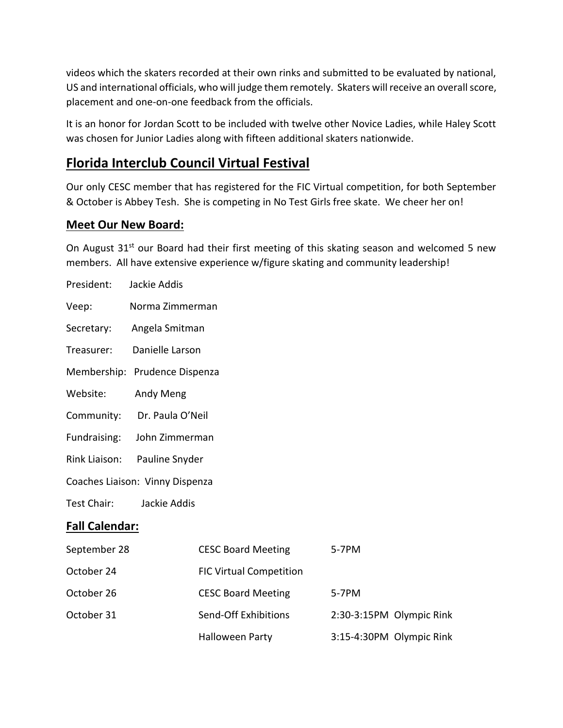videos which the skaters recorded at their own rinks and submitted to be evaluated by national, US and international officials, who will judge them remotely. Skaters will receive an overall score, placement and one-on-one feedback from the officials.

It is an honor for Jordan Scott to be included with twelve other Novice Ladies, while Haley Scott was chosen for Junior Ladies along with fifteen additional skaters nationwide.

## **Florida Interclub Council Virtual Festival**

Our only CESC member that has registered for the FIC Virtual competition, for both September & October is Abbey Tesh. She is competing in No Test Girls free skate. We cheer her on!

### **Meet Our New Board:**

President: Jackie Addis

On August 31<sup>st</sup> our Board had their first meeting of this skating season and welcomed 5 new members. All have extensive experience w/figure skating and community leadership!

| Veep:                           | Norma Zimmerman  |                                |                          |  |  |
|---------------------------------|------------------|--------------------------------|--------------------------|--|--|
| Secretary:                      | Angela Smitman   |                                |                          |  |  |
| Treasurer:                      | Danielle Larson  |                                |                          |  |  |
| Membership: Prudence Dispenza   |                  |                                |                          |  |  |
| Website:                        | Andy Meng        |                                |                          |  |  |
| Community:                      | Dr. Paula O'Neil |                                |                          |  |  |
| Fundraising:                    | John Zimmerman   |                                |                          |  |  |
| Rink Liaison:                   | Pauline Snyder   |                                |                          |  |  |
| Coaches Liaison: Vinny Dispenza |                  |                                |                          |  |  |
| Test Chair:<br>Jackie Addis     |                  |                                |                          |  |  |
| <b>Fall Calendar:</b>           |                  |                                |                          |  |  |
| September 28                    |                  | <b>CESC Board Meeting</b>      | 5-7PM                    |  |  |
| October 24                      |                  | <b>FIC Virtual Competition</b> |                          |  |  |
| October 26                      |                  | <b>CESC Board Meeting</b>      | 5-7PM                    |  |  |
| October 31                      |                  | Send-Off Exhibitions           | 2:30-3:15PM Olympic Rink |  |  |
|                                 |                  | Halloween Party                | 3:15-4:30PM Olympic Rink |  |  |
|                                 |                  |                                |                          |  |  |